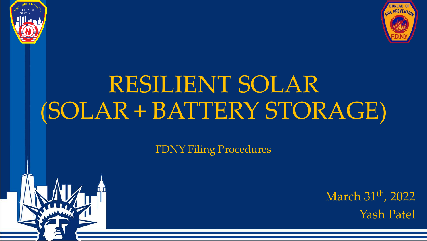



# RESILIENT SOLAR (SOLAR + BATTERY STORAGE)

FDNY Filing Procedures

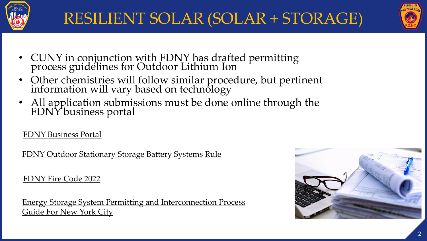



- CUNY in conjunction with FDNY has drafted permitting process guidelines for Outdoor Lithium Ion
- Other chemistries will follow similar procedure, but pertinent information will vary based on technology
- All application submissions must be done online through the FDNY business portal

[FDNY Business Portal](https://www1.nyc.gov/site/fdny/business/support/fdny-business.page)

[FDNY Outdoor Stationary Storage Battery Systems](https://www1.nyc.gov/assets/fdny/downloads/pdf/codes/3-rcny-608-01.pdf) Rule

[FDNY Fire Code 2022](https://www1.nyc.gov/site/fdny/codes/fire-code/proposed-fire-code.page) 

[Energy Storage System Permitting and Interconnection Process](https://nysolarmap.com/media/2101/li-ion-permitting-guide-2020-updated_11320.pdf) [Guide For New York City](https://nysolarmap.com/media/2101/li-ion-permitting-guide-2020-updated_11320.pdf)

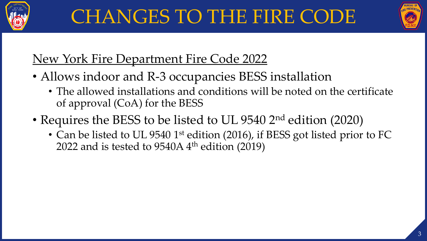



# New York Fire Department Fire Code 2022

- Allows indoor and R-3 occupancies BESS installation
	- The allowed installations and conditions will be noted on the certificate of approval (CoA) for the BESS
- Requires the BESS to be listed to UL 9540 2<sup>nd</sup> edition (2020)
	- Can be listed to UL 9540 1<sup>st</sup> edition (2016), if BESS got listed prior to FC 2022 and is tested to  $9540A$  4<sup>th</sup> edition (2019)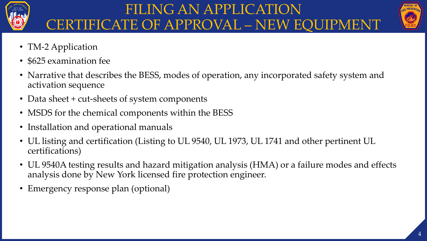

### FILING AN APPLICATION CERTIFICATE OF APPROVAL – NEW EQUIPMENT



- TM-2 Application
- \$625 examination fee
- Narrative that describes the BESS, modes of operation, any incorporated safety system and activation sequence
- Data sheet + cut-sheets of system components
- MSDS for the chemical components within the BESS
- Installation and operational manuals
- UL listing and certification (Listing to UL 9540, UL 1973, UL 1741 and other pertinent UL certifications)
- UL 9540A testing results and hazard mitigation analysis (HMA) or a failure modes and effects analysis done by New York licensed fire protection engineer.
- Emergency response plan (optional)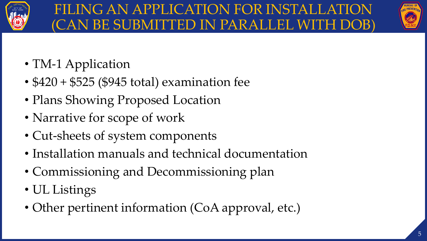



- TM-1 Application
- $$420 + $525$  (\$945 total) examination fee
- Plans Showing Proposed Location
- Narrative for scope of work
- Cut-sheets of system components
- Installation manuals and technical documentation
- Commissioning and Decommissioning plan
- UL Listings
- Other pertinent information (CoA approval, etc.)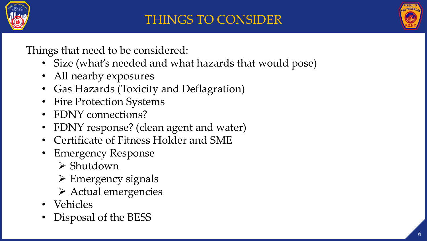



Things that need to be considered:

- Size (what's needed and what hazards that would pose)
- All nearby exposures
- Gas Hazards (Toxicity and Deflagration)
- Fire Protection Systems
- FDNY connections?
- FDNY response? (clean agent and water)
- Certificate of Fitness Holder and SME
- Emergency Response
	- ➢ Shutdown
	- ➢ Emergency signals
	- ➢ Actual emergencies
- Vehicles
- Disposal of the BESS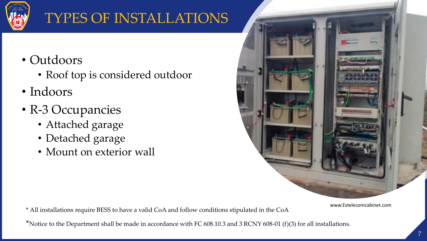

# TYPES OF INSTALLATIONS

- Outdoors
	- Roof top is considered outdoor
- Indoors
- R-3 Occupancies
	- Attached garage
	- Detached garage
	- Mount on exterior wall



www.Estelecomcabinet.com

\* All installations require BESS to have a valid CoA and follow conditions stipulated in the CoA

\*Notice to the Department shall be made in accordance with FC 608.10.3 and 3 RCNY 608-01 (f)(3) for all installations.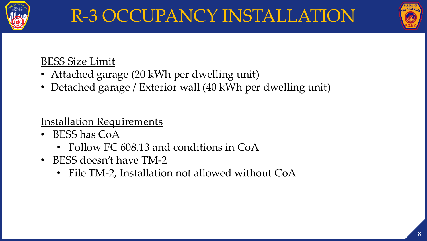



### BESS Size Limit

- Attached garage (20 kWh per dwelling unit)
- Detached garage / Exterior wall (40 kWh per dwelling unit)

**Installation Requirements** 

- BESS has CoA
	- Follow FC 608.13 and conditions in CoA
- BESS doesn't have TM-2
	- File TM-2, Installation not allowed without CoA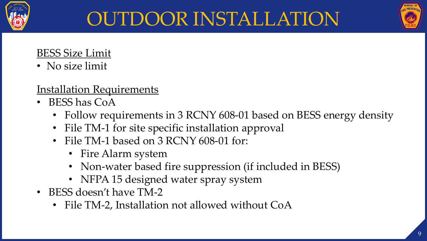

# OUTDOOR INSTALLATION

### BESS Size Limit

• No size limit

### Installation Requirements

- BESS has CoA
	- Follow requirements in 3 RCNY 608-01 based on BESS energy density
	- File TM-1 for site specific installation approval
	- File TM-1 based on 3 RCNY 608-01 for:
		- Fire Alarm system
		- Non-water based fire suppression (if included in BESS)
		- NFPA 15 designed water spray system
- BESS doesn't have TM-2
	- File TM-2, Installation not allowed without CoA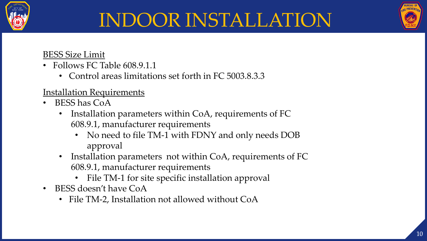

# INDOOR INSTALLATION

#### BESS Size Limit

- Follows FC Table 608.9.1.1
	- Control areas limitations set forth in FC 5003.8.3.3

#### Installation Requirements

- BESS has CoA
	- Installation parameters within CoA, requirements of FC 608.9.1, manufacturer requirements
		- No need to file TM-1 with FDNY and only needs DOB approval
	- Installation parameters not within CoA, requirements of FC 608.9.1, manufacturer requirements
		- File TM-1 for site specific installation approval
- BESS doesn't have CoA
	- File TM-2, Installation not allowed without CoA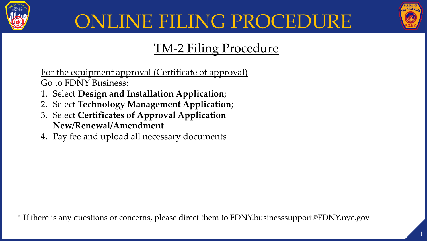



### TM-2 Filing Procedure

For the equipment approval (Certificate of approval) Go to FDNY Business:

- 1. Select **Design and Installation Application**;
- 2. Select **Technology Management Application**;
- 3. Select **Certificates of Approval Application New/Renewal/Amendment**
- 4. Pay fee and upload all necessary documents

\* If there is any questions or concerns, please direct them to FDNY.businesssupport@FDNY.nyc.gov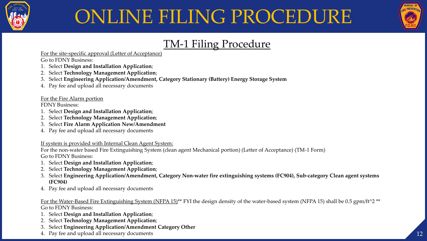



### TM-1 Filing Procedure

For the site-specific approval (Letter of Acceptance)

Go to FDNY Business:

- 1. Select **Design and Installation Application**;
- 2. Select **Technology Management Application**;
- 3. Select **Engineering Application/Amendment, Category Stationary (Battery) Energy Storage System**
- 4. Pay fee and upload all necessary documents

For the Fire Alarm portion

FDNY Business:

- 1. Select **Design and Installation Application**;
- 2. Select **Technology Management Application**;
- 3. Select **Fire Alarm Application New/Amendment**
- 4. Pay fee and upload all necessary documents

If system is provided with Internal Clean Agent System:

For the non-water based Fire Extinguishing System (clean agent Mechanical portion) (Letter of Acceptance) (TM-1 Form) Go to FDNY Business:

- 1. Select **Design and Installation Application**;
- 2. Select **Technology Management Application**;
- 3. Select **Engineering Application/Amendment, Category Non‐water fire extinguishing systems (FC904), Sub-category Clean agent systems (FC904)**
- 4. Pay fee and upload all necessary documents

For the Water-Based Fire Extinguishing System (NFPA 15)<sup>\*\*</sup> FYI the design density of the water-based system (NFPA 15) shall be 0.5 gpm/ft<sup>^2</sup> \*\* Go to FDNY Business:

- 1. Select **Design and Installation Application**;
- 2. Select **Technology Management Application**;
- 3. Select **Engineering Application/Amendment Category Other**
- 4. Pay fee and upload all necessary documents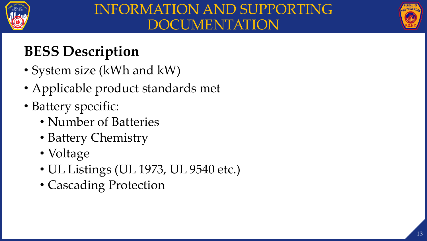



# **BESS Description**

- System size (kWh and kW)
- Applicable product standards met
- Battery specific:
	- Number of Batteries
	- Battery Chemistry
	- Voltage
	- UL Listings (UL 1973, UL 9540 etc.)
	- Cascading Protection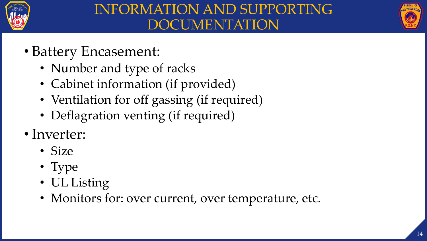



- Battery Encasement:
	- Number and type of racks
	- Cabinet information (if provided)
	- Ventilation for off gassing (if required)
	- Deflagration venting (if required)
- Inverter:
	- Size
	- Type
	- UL Listing
	- Monitors for: over current, over temperature, etc.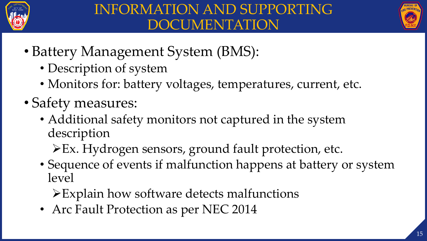



- Battery Management System (BMS):
	- Description of system
	- Monitors for: battery voltages, temperatures, current, etc.
- Safety measures:
	- Additional safety monitors not captured in the system description
		- ➢Ex. Hydrogen sensors, ground fault protection, etc.
	- Sequence of events if malfunction happens at battery or system level
		- ➢Explain how software detects malfunctions
	- Arc Fault Protection as per NEC 2014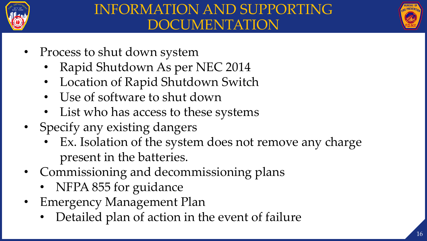



- Process to shut down system
	- Rapid Shutdown As per NEC 2014
	- Location of Rapid Shutdown Switch
	- Use of software to shut down
	- List who has access to these systems
- Specify any existing dangers
	- Ex. Isolation of the system does not remove any charge present in the batteries.
- Commissioning and decommissioning plans
	- NFPA 855 for guidance
- Emergency Management Plan
	- Detailed plan of action in the event of failure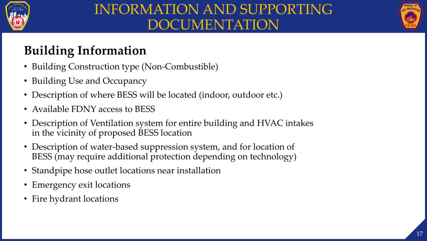

# INFORMATION AND SUPPORTING DOCUMENTATION



### **Building Information**

- Building Construction type (Non-Combustible)
- Building Use and Occupancy
- Description of where BESS will be located (indoor, outdoor etc.)
- Available FDNY access to BESS
- Description of Ventilation system for entire building and HVAC intakes in the vicinity of proposed BESS location
- Description of water-based suppression system, and for location of BESS (may require additional protection depending on technology)
- Standpipe hose outlet locations near installation
- Emergency exit locations
- Fire hydrant locations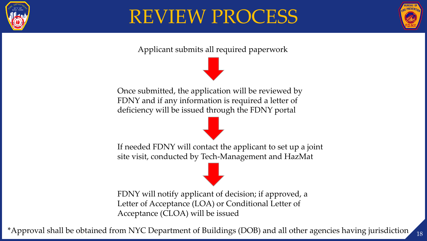

# REVIEW PROCESS



18

Applicant submits all required paperwork

Once submitted, the application will be reviewed by FDNY and if any information is required a letter of deficiency will be issued through the FDNY portal

If needed FDNY will contact the applicant to set up a joint site visit, conducted by Tech-Management and HazMat

FDNY will notify applicant of decision; if approved, a Letter of Acceptance (LOA) or Conditional Letter of Acceptance (CLOA) will be issued

\*Approval shall be obtained from NYC Department of Buildings (DOB) and all other agencies having jurisdiction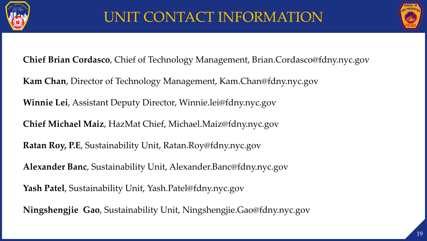



**Chief Brian Cordasco**, Chief of Technology Management, Brian.Cordasco@fdny.nyc.gov

**Kam Chan**, Director of Technology Management, Kam.Chan@fdny.nyc.gov

**Winnie Lei**, Assistant Deputy Director, Winnie.lei@fdny.nyc.gov

**Chief Michael Maiz**, HazMat Chief, Michael.Maiz@fdny.nyc.gov

**Ratan Roy, P.E**, Sustainability Unit, Ratan.Roy@fdny.nyc.gov

**Alexander Banc**, Sustainability Unit, Alexander.Banc@fdny.nyc.gov

**Yash Patel**, Sustainability Unit, Yash.Patel@fdny.nyc.gov

**Ningshengjie Gao**, Sustainability Unit, Ningshengjie.Gao@fdny.nyc.gov